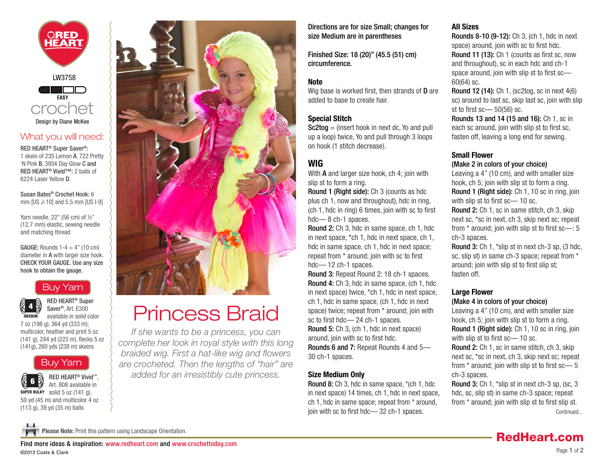<span id="page-0-0"></span>

## What you will need:

RED HEART® Super Saver®: 1 skein of 235 Lemon A, 722 Pretty 'N Pink B, 3934 Day Glow C and RED HEART® Vivid™: 2 balls of 6224 Laser Yellow D.

Susan Bates® Crochet Hook: 6 mm [US J-10] and 5.5 mm [US I-9]

Yarn needle, 22" (56 cm) of ½" (12.7 mm) elastic, sewing needle and matching thread

GAUGE: Rounds  $1-4 = 4"$  (10 cm) diameter in A with larger size hook. CHECK YOUR GAUGE. Use any size hook to obtain the gauge.

# [Buy Yarn](http://www.shopredheart.com/default.aspx?PageID=62&CategoryID=4&ProductID=1969&RootCatCode=01000)



RED HEART® Super Saver®, Art. E300 available in solid color

7 oz (198 g), 364 yd (333 m); multicolor, heather and print 5 oz (141 g), 244 yd (223 m), flecks 5 oz (141g), 260 yds (238 m) skeins

# [Buy Yarn](http://shopredheart.com/default.aspx?PageID=62&CategoryID=4&ProductID=7589&RootCatCode=01000)





# Princess Braid

*If she wants to be a princess, you can complete her look in royal style with this long braided wig. First a hat-like wig and flowers are crocheted. Then the lengths of "hair" are added for an irresistibly cute princess.*

Directions are for size Small; changes for size Medium are in parentheses

Finished Size: 18 (20)" (45.5 (51) cm) circumference.

## Note

Wig base is worked first, then strands of **D** are added to base to create hair.

## Special Stitch

 $Sc2tog = (insert hook in next dc, Yo and pull)$ up a loop) twice, Yo and pull through 3 loops on hook (1 stitch decrease).

# WIG

With **A** and larger size hook, ch 4; join with slip st to form a ring.

Round 1 (Right side): Ch 3 (counts as hdc plus ch 1, now and throughout), hdc in ring, (ch 1, hdc in ring) 6 times, join with sc to first hdc—8 ch-1 spaces.

Round 2: Ch 3, hdc in same space, ch 1, hdc in next space, \*ch 1, hdc in next space, ch 1, hdc in same space, ch 1, hdc in next space; repeat from \* around; join with sc to first hdc—12 ch-1 spaces.

Round 3: Repeat Round 2: 18 ch-1 spaces. Round 4: Ch 3, hdc in same space, (ch 1, hdc in next space) twice, \*ch 1, hdc in next space, ch 1, hdc in same space, (ch 1, hdc in next space) twice; repeat from \* around; join with sc to first hdc— 24 ch-1 spaces. Round 5: Ch 3, (ch 1, hdc in next space) around, join with sc to first hdc. Rounds 6 and 7: Repeat Rounds 4 and 5— 30 ch-1 spaces.

### Size Medium Only

Round 8: Ch 3, hdc in same space, \*(ch 1, hdc in next space) 14 times, ch 1, hdc in next space, ch 1, hdc in same space; repeat from \* around, join with sc to first hdc— 32 ch-1 spaces.

## All Sizes

Rounds 8-10 (9-12): Ch 3, (ch 1, hdc in next space) around, join with sc to first hdc. Round 11 (13): Ch 1 (counts as first sc, now and throughout), sc in each hdc and ch-1 space around, join with slip st to first sc— 60(64) sc.

Round 12 (14): Ch 1, (sc2tog, sc in next 4(6) sc) around to last sc, skip last sc, join with slip st to first  $sc$   $-$  50(56) sc.

Rounds 13 and 14 (15 and 16): Ch 1, sc in each sc around, join with slip st to first sc, fasten off, leaving a long end for sewing.

## Small Flower

#### (Make 2 in colors of your choice)

Leaving a 4" (10 cm), and with smaller size hook, ch 5; join with slip st to form a ring. Round 1 (Right side): Ch 1, 10 sc in ring, join with slip st to first sc— 10 sc.

Round 2: Ch 1, sc in same stitch, ch 3, skip next sc, \*sc in next, ch 3, skip next sc; repeat from \* around; join with slip st to first sc—: 5 ch-3 spaces.

Round 3: Ch 1, \*slip st in next ch-3 sp, (3 hdc, sc, slip st) in same ch-3 space; repeat from \* around; join with slip st to first slip st; fasten off.

## Large Flower

#### (Make 4 in colors of your choice)

Leaving a 4" (10 cm), and with smaller size hook, ch 5; join with slip st to form a ring. Round 1 (Right side): Ch 1, 10 sc in ring, join with slip st to first sc— 10 sc. Round 2: Ch 1, sc in same stitch, ch 3, skip next sc, \*sc in next, ch 3, skip next sc; repeat from \* around; join with slip st to first sc— 5 ch-3 spaces.

Round 3: Ch 1, \*slip st in next ch-3 sp, (sc, 3 hdc, sc, slip st) in same ch-3 space; repeat from \* around; join with slip st to first slip st. [Continued...](#page-1-0)

[RedHeart.com](http://www.redheart.com)



Please Note: Print this pattern using Landscape Orientation.